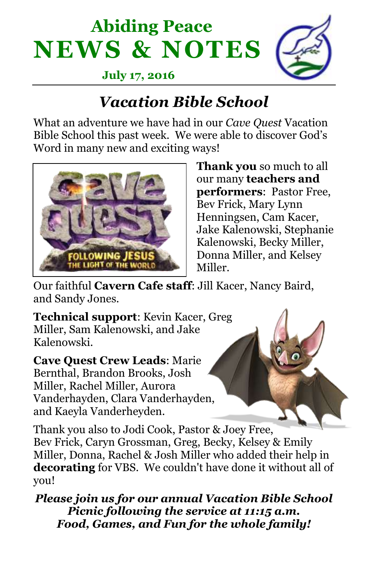## **Abiding Peace NEWS & NOTES**



 **July 17, 2016**

## *Vacation Bible School*

What an adventure we have had in our *Cave Quest* Vacation Bible School this past week. We were able to discover God's Word in many new and exciting ways!



**Thank you** so much to all our many **teachers and performers**: Pastor Free, Bev Frick, Mary Lynn Henningsen, Cam Kacer, Jake Kalenowski, Stephanie Kalenowski, Becky Miller, Donna Miller, and Kelsey Miller.

Our faithful **Cavern Cafe staff**: Jill Kacer, Nancy Baird, and Sandy Jones.

**Technical support**: Kevin Kacer, Greg Miller, Sam Kalenowski, and Jake Kalenowski.

**Cave Quest Crew Leads**: Marie Bernthal, Brandon Brooks, Josh Miller, Rachel Miller, Aurora Vanderhayden, Clara Vanderhayden, and Kaeyla Vanderheyden.

Thank you also to Jodi Cook, Pastor & Joey Free, Bev Frick, Caryn Grossman, Greg, Becky, Kelsey & Emily Miller, Donna, Rachel & Josh Miller who added their help in **decorating** for VBS. We couldn't have done it without all of you!

*Please join us for our annual Vacation Bible School Picnic following the service at 11:15 a.m. Food, Games, and Fun for the whole family!*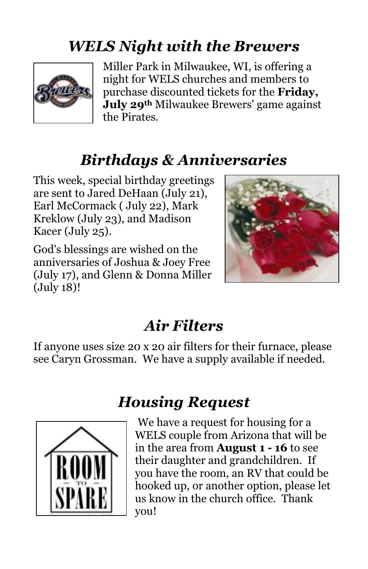## *WELS Night with the Brewers*



Miller Park in Milwaukee, WI, is offering a night for WELS churches and members to purchase discounted tickets for the **Friday, July 29th** Milwaukee Brewers' game against the Pirates.

### *Birthdays & Anniversaries*

This week, special birthday greetings are sent to Jared DeHaan (July 21), Earl McCormack ( July 22), Mark Kreklow (July 23), and Madison Kacer (July 25).

God's blessings are wished on the anniversaries of Joshua & Joey Free (July 17), and Glenn & Donna Miller (July 18)!



#### *Air Filters*

If anyone uses size 20 x 20 air filters for their furnace, please see Caryn Grossman. We have a supply available if needed.



#### *Housing Request*

We have a request for housing for a WELS couple from Arizona that will be in the area from **August 1 - 16** to see their daughter and grandchildren. If you have the room, an RV that could be hooked up, or another option, please let us know in the church office. Thank you!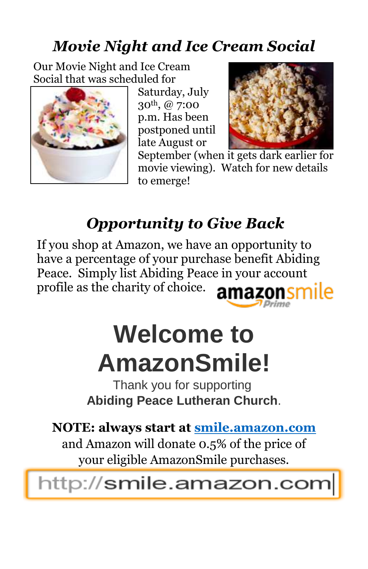## *Movie Night and Ice Cream Social*

Our Movie Night and Ice Cream Social that was scheduled for



Saturday, July 30th, @ 7:00 p.m. Has been postponed until late August or



September (when it gets dark earlier for movie viewing). Watch for new details to emerge!

## *Opportunity to Give Back*

If you shop at Amazon, we have an opportunity to have a percentage of your purchase benefit Abiding Peace. Simply list Abiding Peace in your account profile as the charity of choice. amazonsmile

# **Welcome to AmazonSmile!**

Thank you for supporting **Abiding Peace Lutheran Church**.

**NOTE: always start at [smile.amazon.com](https://www.amazon.com/gp/f.html?C=BKM94FC3JWEU&K=A5TAPNUAEPVWF&R=2M9OK2XTYWFK6&T=C&U=http%3A%2F%2Fsmile.amazon.com%2Fref%3Dpe_830720_136174660_smi_em_we2_l1_smi&A=OTQ94Q0VRLAFWCOF0GI2ZOLCQAOA&H=IBTZAHKHENIF15L9AGMTR0AKF80A&ref_=pe_830720_136174660_smi_em_we2_l1_smi)**

and Amazon will donate 0.5% of the price of your eligible AmazonSmile purchases.

http://smile.amazon.com